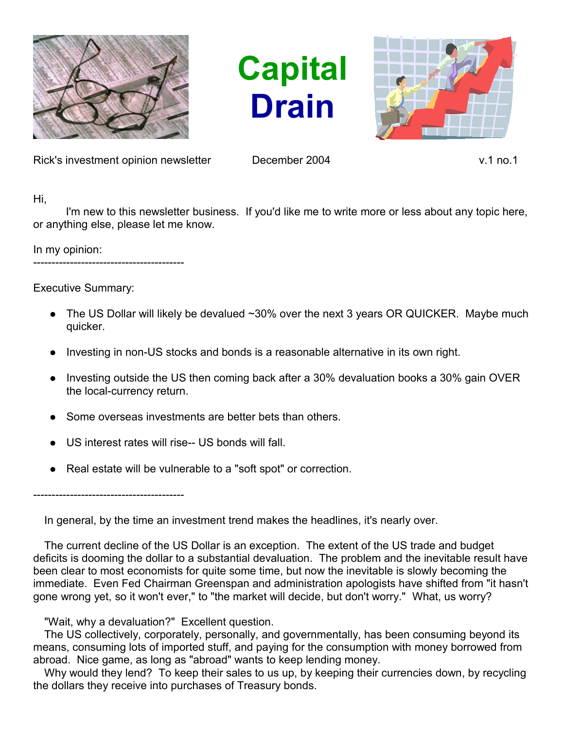

**Capital Drain**



Rick's investment opinion newsletter December 2004 v.1 no.1

Hi,

I'm new to this newsletter business. If you'd like me to write more or less about any topic here, or anything else, please let me know.

In my opinion:

-----------------------------------------

Executive Summary:

- The US Dollar will likely be devalued  $\sim$ 30% over the next 3 years OR QUICKER. Maybe much quicker.
- Investing in non-US stocks and bonds is a reasonable alternative in its own right.
- Investing outside the US then coming back after a 30% devaluation books a 30% gain OVER the local-currency return.
- Some overseas investments are better bets than others.
- US interest rates will rise-- US bonds will fall.
- Real estate will be vulnerable to a "soft spot" or correction.

-----------------------------------------

In general, by the time an investment trend makes the headlines, it's nearly over.

The current decline of the US Dollar is an exception. The extent of the US trade and budget deficits is dooming the dollar to a substantial devaluation. The problem and the inevitable result have been clear to most economists for quite some time, but now the inevitable is slowly becoming the immediate. Even Fed Chairman Greenspan and administration apologists have shifted from "it hasn't gone wrong yet, so it won't ever," to "the market will decide, but don't worry." What, us worry?

## "Wait, why a devaluation?" Excellent question.

The US collectively, corporately, personally, and governmentally, has been consuming beyond its means, consuming lots of imported stuff, and paying for the consumption with money borrowed from abroad. Nice game, as long as "abroad" wants to keep lending money.

Why would they lend? To keep their sales to us up, by keeping their currencies down, by recycling the dollars they receive into purchases of Treasury bonds.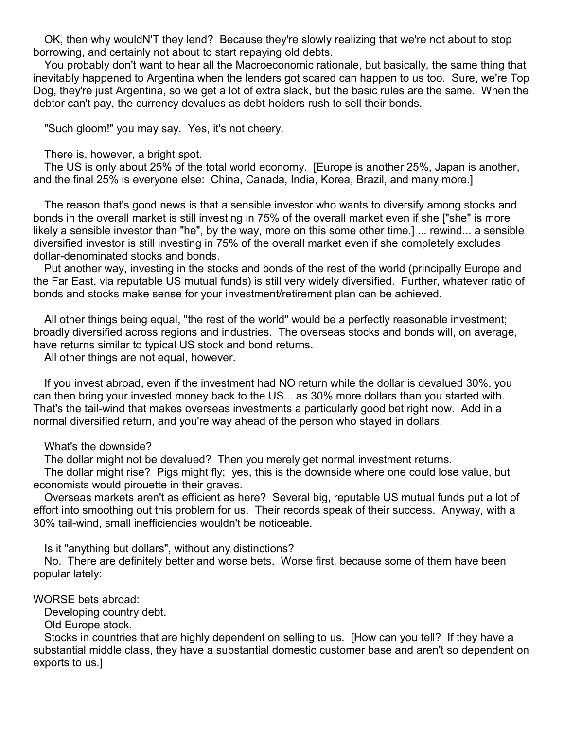OK, then why wouldN'T they lend? Because they're slowly realizing that we're not about to stop borrowing, and certainly not about to start repaying old debts.

You probably don't want to hear all the Macroeconomic rationale, but basically, the same thing that inevitably happened to Argentina when the lenders got scared can happen to us too. Sure, we're Top Dog, they're just Argentina, so we get a lot of extra slack, but the basic rules are the same. When the debtor can't pay, the currency devalues as debt-holders rush to sell their bonds.

"Such gloom!" you may say. Yes, it's not cheery.

There is, however, a bright spot.

The US is only about 25% of the total world economy. [Europe is another 25%, Japan is another, and the final 25% is everyone else: China, Canada, India, Korea, Brazil, and many more.]

The reason that's good news is that a sensible investor who wants to diversify among stocks and bonds in the overall market is still investing in 75% of the overall market even if she ["she" is more likely a sensible investor than "he", by the way, more on this some other time.] ... rewind... a sensible diversified investor is still investing in 75% of the overall market even if she completely excludes dollar-denominated stocks and bonds.

Put another way, investing in the stocks and bonds of the rest of the world (principally Europe and the Far East, via reputable US mutual funds) is still very widely diversified. Further, whatever ratio of bonds and stocks make sense for your investment/retirement plan can be achieved.

All other things being equal, "the rest of the world" would be a perfectly reasonable investment; broadly diversified across regions and industries. The overseas stocks and bonds will, on average, have returns similar to typical US stock and bond returns.

All other things are not equal, however.

If you invest abroad, even if the investment had NO return while the dollar is devalued 30%, you can then bring your invested money back to the US... as 30% more dollars than you started with. That's the tail-wind that makes overseas investments a particularly good bet right now. Add in a normal diversified return, and you're way ahead of the person who stayed in dollars.

What's the downside?

The dollar might not be devalued? Then you merely get normal investment returns.

The dollar might rise? Pigs might fly; yes, this is the downside where one could lose value, but economists would pirouette in their graves.

Overseas markets aren't as efficient as here? Several big, reputable US mutual funds put a lot of effort into smoothing out this problem for us. Their records speak of their success. Anyway, with a 30% tail-wind, small inefficiencies wouldn't be noticeable.

Is it "anything but dollars", without any distinctions?

No. There are definitely better and worse bets. Worse first, because some of them have been popular lately:

WORSE bets abroad:

Developing country debt.

Old Europe stock.

Stocks in countries that are highly dependent on selling to us. [How can you tell? If they have a substantial middle class, they have a substantial domestic customer base and aren't so dependent on exports to us.]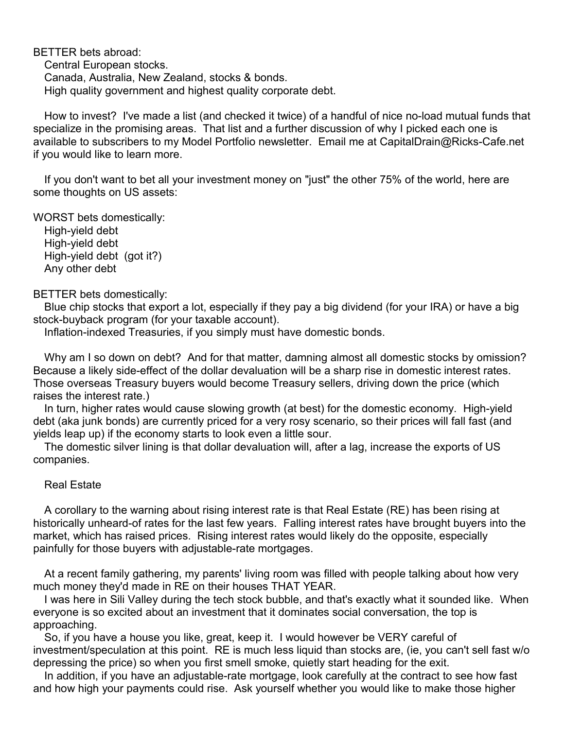BETTER bets abroad: Central European stocks. Canada, Australia, New Zealand, stocks & bonds. High quality government and highest quality corporate debt.

How to invest? I've made a list (and checked it twice) of a handful of nice no-load mutual funds that specialize in the promising areas. That list and a further discussion of why I picked each one is available to subscribers to my Model Portfolio newsletter. Email me at CapitalDrain@Ricks-Cafe.net if you would like to learn more.

If you don't want to bet all your investment money on "just" the other 75% of the world, here are some thoughts on US assets:

WORST bets domestically:

High-yield debt High-yield debt High-yield debt (got it?) Any other debt

## BETTER bets domestically:

Blue chip stocks that export a lot, especially if they pay a big dividend (for your IRA) or have a big stock-buyback program (for your taxable account).

Inflation-indexed Treasuries, if you simply must have domestic bonds.

Why am I so down on debt? And for that matter, damning almost all domestic stocks by omission? Because a likely side-effect of the dollar devaluation will be a sharp rise in domestic interest rates. Those overseas Treasury buyers would become Treasury sellers, driving down the price (which raises the interest rate.)

In turn, higher rates would cause slowing growth (at best) for the domestic economy. High-yield debt (aka junk bonds) are currently priced for a very rosy scenario, so their prices will fall fast (and yields leap up) if the economy starts to look even a little sour.

The domestic silver lining is that dollar devaluation will, after a lag, increase the exports of US companies.

## Real Estate

A corollary to the warning about rising interest rate is that Real Estate (RE) has been rising at historically unheard-of rates for the last few years. Falling interest rates have brought buyers into the market, which has raised prices. Rising interest rates would likely do the opposite, especially painfully for those buyers with adjustable-rate mortgages.

At a recent family gathering, my parents' living room was filled with people talking about how very much money they'd made in RE on their houses THAT YEAR.

I was here in Sili Valley during the tech stock bubble, and that's exactly what it sounded like. When everyone is so excited about an investment that it dominates social conversation, the top is approaching.

So, if you have a house you like, great, keep it. I would however be VERY careful of investment/speculation at this point. RE is much less liquid than stocks are, (ie, you can't sell fast w/o depressing the price) so when you first smell smoke, quietly start heading for the exit.

In addition, if you have an adjustable-rate mortgage, look carefully at the contract to see how fast and how high your payments could rise. Ask yourself whether you would like to make those higher